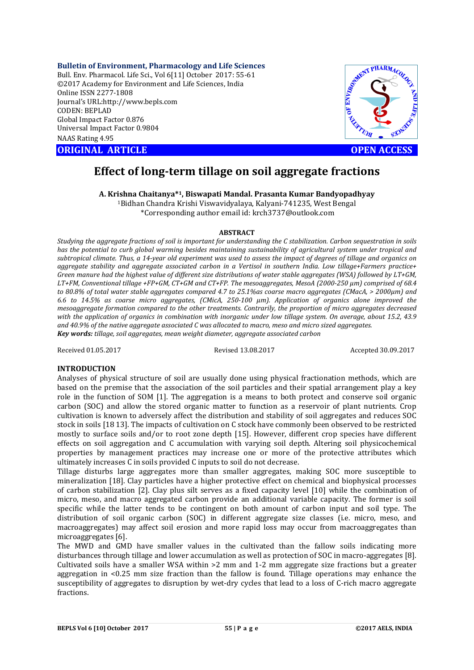**Bulletin of Environment, Pharmacology and Life Sciences**

Bull. Env. Pharmacol. Life Sci., Vol 6[11] October 2017: 55-61 ©2017 Academy for Environment and Life Sciences, India Online ISSN 2277-1808 Journal's URL:http://www.bepls.com CODEN: BEPLAD Global Impact Factor 0.876 Universal Impact Factor 0.9804 NAAS Rating 4.95

**ORIGINAL ARTICLE OPEN ACCESS** 



# **Effect of long-term tillage on soil aggregate fractions**

**A. Krishna Chaitanya\*1, Biswapati Mandal. Prasanta Kumar Bandyopadhyay** 1Bidhan Chandra Krishi Viswavidyalaya, Kalyani-741235, West Bengal

\*Corresponding author email id: krch3737@outlook.com

#### **ABSTRACT**

*Studying the aggregate fractions of soil is important for understanding the C stabilization. Carbon sequestration in soils has the potential to curb global warming besides maintaining sustainability of agricultural system under tropical and subtropical climate. Thus, a 14-year old experiment was used to assess the impact of degrees of tillage and organics on aggregate stability and aggregate associated carbon in a Vertisol in southern India. Low tillage+Farmers practice+ Green manure had the highest value of different size distributions of water stable aggregates (WSA) followed by LT+GM, LT+FM, Conventional tillage +FP+GM, CT+GM and CT+FP. The mesoaggregates, MesoA (2000-250 µm) comprised of 68.4 to 80.8% of total water stable aggregates compared 4.7 to 25.1%as coarse macro aggregates (CMacA, > 2000µm) and 6.6 to 14.5% as coarse micro aggregates, (CMicA, 250-100 µm). Application of organics alone improved the mesoaggregate formation compared to the other treatments. Contrarily, the proportion of micro aggregates decreased with the application of organics in combination with inorganic under low tillage system. On average, about 15.2, 43.9 and 40.9% of the native aggregate associated C was allocated to macro, meso and micro sized aggregates. Key words: tillage, soil aggregates, mean weight diameter, aggregate associated carbon*

Received 01.05.2017 Revised 13.08.2017 Accepted 30.09.2017

# **INTRODUCTION**

Analyses of physical structure of soil are usually done using physical fractionation methods, which are based on the premise that the association of the soil particles and their spatial arrangement play a key role in the function of SOM [1]. The aggregation is a means to both protect and conserve soil organic carbon (SOC) and allow the stored organic matter to function as a reservoir of plant nutrients. Crop cultivation is known to adversely affect the distribution and stability of soil aggregates and reduces SOC stock in soils [18 13]. The impacts of cultivation on C stock have commonly been observed to be restricted mostly to surface soils and/or to root zone depth [15]. However, different crop species have different effects on soil aggregation and C accumulation with varying soil depth. Altering soil physicochemical properties by management practices may increase one or more of the protective attributes which ultimately increases C in soils provided C inputs to soil do not decrease.

Tillage disturbs large aggregates more than smaller aggregates, making SOC more susceptible to mineralization [18]. Clay particles have a higher protective effect on chemical and biophysical processes of carbon stabilization [2]. Clay plus silt serves as a fixed capacity level [10] while the combination of micro, meso, and macro aggregated carbon provide an additional variable capacity. The former is soil specific while the latter tends to be contingent on both amount of carbon input and soil type. The distribution of soil organic carbon (SOC) in different aggregate size classes (i.e. micro, meso, and macroaggregates) may affect soil erosion and more rapid loss may occur from macroaggregates than microaggregates [6].

The MWD and GMD have smaller values in the cultivated than the fallow soils indicating more disturbances through tillage and lower accumulation as well as protection of SOC in macro-aggregates [8]. Cultivated soils have a smaller WSA within >2 mm and 1-2 mm aggregate size fractions but a greater aggregation in <0.25 mm size fraction than the fallow is found. Tillage operations may enhance the susceptibility of aggregates to disruption by wet-dry cycles that lead to a loss of C-rich macro aggregate fractions.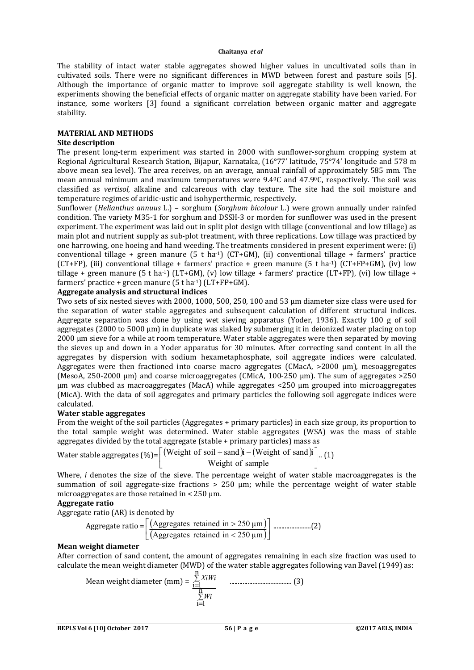The stability of intact water stable aggregates showed higher values in uncultivated soils than in cultivated soils. There were no significant differences in MWD between forest and pasture soils [5]. Although the importance of organic matter to improve soil aggregate stability is well known, the experiments showing the beneficial effects of organic matter on aggregate stability have been varied. For instance, some workers [3] found a significant correlation between organic matter and aggregate stability.

### **MATERIAL AND METHODS**

### **Site description**

The present long-term experiment was started in 2000 with sunflower-sorghum cropping system at Regional Agricultural Research Station, Bijapur, Karnataka, (16°77' latitude, 75°74' longitude and 578 m above mean sea level). The area receives, on an average, annual rainfall of approximately 585 mm. The mean annual minimum and maximum temperatures were 9.40C and 47.90C, respectively. The soil was classified as *vertisol*, alkaline and calcareous with clay texture. The site had the soil moisture and temperature regimes of aridic-ustic and isohyperthermic, respectively.

Sunflower (*Helianthus annuus* L.) – sorghum (*Sorghum bicolour* L.) were grown annually under rainfed condition. The variety M35-1 for sorghum and DSSH-3 or morden for sunflower was used in the present experiment. The experiment was laid out in split plot design with tillage (conventional and low tillage) as main plot and nutrient supply as sub-plot treatment, with three replications. Low tillage was practiced by one harrowing, one hoeing and hand weeding. The treatments considered in present experiment were: (i) conventional tillage + green manure  $(5 \text{ t} \text{ ha-1})$  (CT+GM), (ii) conventional tillage + farmers' practice (CT+FP), (iii) conventional tillage + farmers' practice + green manure (5 t ha<sup>-1</sup>) (CT+FP+GM), (iv) low tillage + green manure (5 t ha<sup>-1</sup>) (LT+GM), (v) low tillage + farmers' practice (LT+FP), (vi) low tillage + farmers' practice + green manure  $(5 \text{ tha-1})$   $(LT+FP+GM)$ .

# **Aggregate analysis and structural indices**

Two sets of six nested sieves with 2000, 1000, 500, 250, 100 and 53 µm diameter size class were used for the separation of water stable aggregates and subsequent calculation of different structural indices. Aggregate separation was done by using wet sieving apparatus (Yoder, 1936). Exactly 100 g of soil aggregates (2000 to 5000  $\mu$ m) in duplicate was slaked by submerging it in deionized water placing on top 2000 µm sieve for a while at room temperature. Water stable aggregates were then separated by moving the sieves up and down in a Yoder apparatus for 30 minutes. After correcting sand content in all the aggregates by dispersion with sodium hexametaphosphate, soil aggregate indices were calculated. Aggregates were then fractioned into coarse macro aggregates (CMacA, >2000 µm), mesoaggregates (MesoA, 250-2000 µm) and coarse microaggregates (CMicA, 100-250 µm). The sum of aggregates >250 µm was clubbed as macroaggregates (MacA) while aggregates <250 µm grouped into microaggregates (MicA). With the data of soil aggregates and primary particles the following soil aggregate indices were calculated.

### **Water stable aggregates**

From the weight of the soil particles (Aggregates + primary particles) in each size group, its proportion to the total sample weight was determined. Water stable aggregates (WSA) was the mass of stable aggregates divided by the total aggregate (stable + primary particles) mass as

Water stable aggregates (%)=
$$
\left[\frac{\text{(Weight of soil + sand)}\text{i} - \text{(Weight of sand)}\text{i}}{\text{Weight of sample}}\right] \cdot (1)
$$

Where, *i* denotes the size of the sieve. The percentage weight of water stable macroaggregates is the summation of soil aggregate-size fractions  $> 250$  um; while the percentage weight of water stable microaggregates are those retained in  $\lt 250$  µm.

# **Aggregate ratio**

Aggregate ratio (AR) is denoted by

Aggregate ratio = 
$$
\left[ \frac{\text{(Aggregates retained in} > 250 \text{ }\mu\text{m})}{\text{(Aggregates retained in} < 250 \text{ }\mu\text{m})} \right] \dots (2)
$$

### **Mean weight diameter**

After correction of sand content, the amount of aggregates remaining in each size fraction was used to calculate the mean weight diameter (MWD) of the water stable aggregates following van Bavel (1949) as:

Mean weight diameter (mm) = 
$$
\frac{\sum_{i=1}^{n} X_i W_i}{\sum_{i=1}^{n} W_i}
$$
 (3)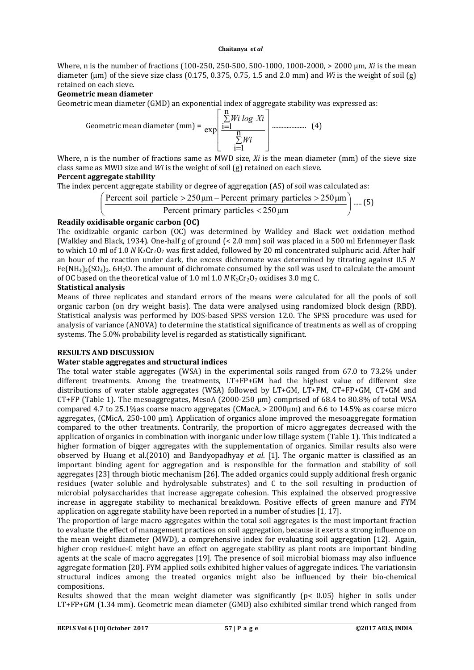Where, n is the number of fractions (100-250, 250-500, 500-1000, 1000-2000, > 2000 µm, *Xi* is the mean diameter (um) of the sieve size class  $(0.175, 0.375, 0.75, 1.5$  and  $2.0$  mm) and *Wi* is the weight of soil (g) retained on each sieve.

# **Geometric mean diameter**

Geometric mean diameter (GMD) an exponential index of aggregate stability was expressed as:

Geometric mean diameter (mm) = 
$$
\exp\left[\frac{\sum_{i=1}^{n} Wi \log Xi}{\sum_{i=1}^{n} Wi}
$$
 (4)

Where, n is the number of fractions same as MWD size, *Xi* is the mean diameter (mm) of the sieve size class same as MWD size and *Wi* is the weight of soil (g) retained on each sieve.

# **Percent aggregate stability**

The index percent aggregate stability or degree of aggregation (AS) of soil was calculated as:

$$
\left(\frac{\text{Percent soil particle} > 250 \,\mu\text{m} - \text{Percent primary particles} > 250 \,\mu\text{m}}{\text{Percent primary particles} < 250 \,\mu\text{m}}\right) \dots (5)
$$

# **Readily oxidisable organic carbon (OC)**

The oxidizable organic carbon (OC) was determined by Walkley and Black wet oxidation method (Walkley and Black, 1934). One-half g of ground (< 2.0 mm) soil was placed in a 500 ml Erlenmeyer flask to which 10 ml of 1.0 *N* K<sub>2</sub>Cr<sub>2</sub>O<sub>7</sub> was first added, followed by 20 ml concentrated sulphuric acid. After half an hour of the reaction under dark, the excess dichromate was determined by titrating against 0.5 *N*  $Fe(NH<sub>4</sub>)<sub>2</sub>(SO<sub>4</sub>)<sub>2</sub>$ . 6H<sub>2</sub>O. The amount of dichromate consumed by the soil was used to calculate the amount of OC based on the theoretical value of 1.0 ml 1.0  $N$  K<sub>2</sub>Cr<sub>2</sub>O<sub>7</sub> oxidises 3.0 mg C.

### **Statistical analysis**

Means of three replicates and standard errors of the means were calculated for all the pools of soil organic carbon (on dry weight basis). The data were analysed using randomized block design (RBD). Statistical analysis was performed by DOS-based SPSS version 12.0. The SPSS procedure was used for analysis of variance (ANOVA) to determine the statistical significance of treatments as well as of cropping systems. The 5.0% probability level is regarded as statistically significant.

# **RESULTS AND DISCUSSION**

### **Water stable aggregates and structural indices**

The total water stable aggregates (WSA) in the experimental soils ranged from 67.0 to 73.2% under different treatments. Among the treatments, LT+FP+GM had the highest value of different size distributions of water stable aggregates (WSA) followed by LT+GM, LT+FM, CT+FP+GM, CT+GM and CT+FP (Table 1). The mesoaggregates, MesoA (2000-250 µm) comprised of 68.4 to 80.8% of total WSA compared 4.7 to 25.1% as coarse macro aggregates (CMacA,  $>$  2000 km) and 6.6 to 14.5% as coarse micro aggregates, (CMicA, 250-100 µm). Application of organics alone improved the mesoaggregate formation compared to the other treatments. Contrarily, the proportion of micro aggregates decreased with the application of organics in combination with inorganic under low tillage system (Table 1). This indicated a higher formation of bigger aggregates with the supplementation of organics. Similar results also were observed by Huang et al.(2010) and Bandyopadhyay *et al*. [1]. The organic matter is classified as an important binding agent for aggregation and is responsible for the formation and stability of soil aggregates [23] through biotic mechanism [26]. The added organics could supply additional fresh organic residues (water soluble and hydrolysable substrates) and C to the soil resulting in production of microbial polysaccharides that increase aggregate cohesion. This explained the observed progressive increase in aggregate stability to mechanical breakdown. Positive effects of green manure and FYM application on aggregate stability have been reported in a number of studies [1, 17].

The proportion of large macro aggregates within the total soil aggregates is the most important fraction to evaluate the effect of management practices on soil aggregation, because it exerts a strong influence on the mean weight diameter (MWD), a comprehensive index for evaluating soil aggregation [12]. Again, higher crop residue-C might have an effect on aggregate stability as plant roots are important binding agents at the scale of macro aggregates [19]. The presence of soil microbial biomass may also influence aggregate formation [20]. FYM applied soils exhibited higher values of aggregate indices. The variationsin structural indices among the treated organics might also be influenced by their bio-chemical compositions.

Results showed that the mean weight diameter was significantly (p< 0.05) higher in soils under LT+FP+GM (1.34 mm). Geometric mean diameter (GMD) also exhibited similar trend which ranged from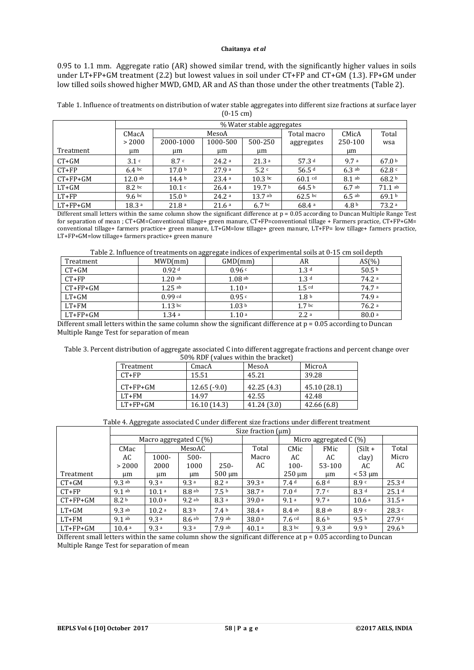0.95 to 1.1 mm. Aggregate ratio (AR) showed similar trend, with the significantly higher values in soils under LT+FP+GM treatment (2.2) but lowest values in soil under CT+FP and CT+GM (1.3). FP+GM under low tilled soils showed higher MWD, GMD, AR and AS than those under the other treatments (Table 2).

| Table 1. Influence of treatments on distribution of water stable aggregates into different size fractions at surface layer |
|----------------------------------------------------------------------------------------------------------------------------|
| $(0-15 \text{ cm})$                                                                                                        |

|            | % Water stable aggregates |                   |                   |                   |                   |                  |                   |  |
|------------|---------------------------|-------------------|-------------------|-------------------|-------------------|------------------|-------------------|--|
|            | CMacA                     |                   | MesoA             |                   | Total macro       | CMicA            | Total             |  |
|            | > 2000                    | 2000-1000         | 1000-500          | 500-250           | aggregates        | 250-100          | wsa               |  |
| Treatment  | um                        | um                | um                | um                |                   | um               |                   |  |
| $CT+GM$    | 3.1c                      | 8.7c              | 24.2a             | 21.3a             | 57.3 $d$          | 9.7a             | 67.0 b            |  |
| $CT+FP$    | 6.4 <sup>bc</sup>         | 17.0 <sup>b</sup> | 27.9a             | 5.2c              | 56.5 $d$          | 6.3ab            | 62.8c             |  |
| $CT+FP+GM$ | $12.0$ ab                 | 14.4 <sup>b</sup> | 23.4a             | $10.3 \text{ bc}$ | $60.1$ cd         | $8.1$ ab         | 68.2 <sup>b</sup> |  |
| $LT+GM$    | 8.2 <sub>bc</sub>         | 10.1 c            | 26.4a             | 19.7 <sup>b</sup> | 64.5 <sup>b</sup> | 6.7ab            | $71.1$ ab         |  |
| $LT+FP$    | 9.6 <sup>bc</sup>         | 15.0 <sup>b</sup> | 24.2 <sup>a</sup> | $13.7$ ab         | $62.5 \text{ bc}$ | $6.5$ ab         | 69.1 <sup>b</sup> |  |
| $LT+FP+GM$ | 18.3 <sup>a</sup>         | 21.8a             | 21.6a             | 6.7 <sup>bc</sup> | 68.4a             | 4.8 <sup>b</sup> | 73.2a             |  |

Different small letters within the same column show the significant difference at p = 0.05 according to Duncan Multiple Range Test for separation of mean ; CT+GM=Conventional tillage+ green manure, CT+FP=conventional tillage + Farmers practice, CT+FP+GM= conventional tillage+ farmers practice+ green manure, LT+GM=low tillage+ green manure, LT+FP= low tillage+ farmers practice, LT+FP+GM=low tillage+ farmers practice+ green manure

Table 2. Influence of treatments on aggregate indices of experimental soils at 0-15 cm soil depth

| Treatment  | MWD/mm            | GMD(mm)           | AR                | $AS(\%)$ |
|------------|-------------------|-------------------|-------------------|----------|
| $CT+GM$    | 0.92 <sup>d</sup> | 0.96c             | 1.3 <sup>d</sup>  | 50.5 $b$ |
| $CT + FP$  | $1.20$ ab         | $1.08$ ab         | 1.3 <sup>d</sup>  | 74.2 a   |
| $CT+FP+GM$ | $1.25$ ab         | 1.10a             | $1.5$ $cd$        | 74.7 a   |
| LT+GM      | $0.99$ cd         | 0.95c             | 1.8 <sup>b</sup>  | 74.9 a   |
| LT+FM      | $1.13 \text{ bc}$ | 1.03 <sup>b</sup> | 1.7 <sup>bc</sup> | 76.2a    |
| $LT+FP+GM$ | 1.34a             | 1.10a             | 2.2a              | 80.0a    |

Different small letters within the same column show the significant difference at  $p = 0.05$  according to Duncan Multiple Range Test for separation of mean

| Table 3. Percent distribution of aggregate associated C into different aggregate fractions and percent change over |
|--------------------------------------------------------------------------------------------------------------------|
| 50% RDF (values within the bracket)                                                                                |

| <u>JUMILLE I RAIUCI MILIIIII URU DI UCIVOLI</u> |               |            |              |  |  |  |  |
|-------------------------------------------------|---------------|------------|--------------|--|--|--|--|
| Treatment                                       | CmacA         | MesoA      | MicroA       |  |  |  |  |
| $CT+FP$                                         | 15.51         | 45.21      | 39.28        |  |  |  |  |
| $CT+FP+GM$                                      | $12.65(-9.0)$ | 42.25(4.3) | 45.10 (28.1) |  |  |  |  |
| $LT+FM$                                         | 14.97         | 42.55      | 42.48        |  |  |  |  |
| $LT+FP+GM$                                      | 16.10 (14.3)  | 41.24(3.0) | 42.66(6.8)   |  |  |  |  |

Table 4. Aggregate associated C under different size fractions under different treatment

|            | Size fraction $(\mu m)$  |                   |                   |                  |                   |                          |                  |                   |                   |
|------------|--------------------------|-------------------|-------------------|------------------|-------------------|--------------------------|------------------|-------------------|-------------------|
|            | Macro aggregated $C(\%)$ |                   |                   |                  |                   | Micro aggregated $C(\%)$ |                  |                   |                   |
|            | CMac                     | MesoAC            |                   |                  | Total             | CMic                     | FMic             | $(Silt +$         | Total             |
|            | AC                       | $1000 -$          | $500 -$           |                  | Macro             | AC                       | AC               | clay)             | Micro             |
|            | > 2000                   | 2000              | 1000              | $250 -$          | AC                | $100 -$                  | 53-100           | AC                | AC                |
| Treatment  | um                       | μm                | um                | $500 \mu m$      |                   | $250 \mu m$              | um               | $< 53 \text{ µm}$ |                   |
| $CT+GM$    | $9.3$ ab                 | 9.3a              | 9.3a              | 8.2a             | 39.3a             | 7.4 <sup>d</sup>         | 6.8 <sup>d</sup> | 8.9 <sup>c</sup>  | 25.3 <sup>d</sup> |
| $CT+FP$    | $9.1$ ab                 | 10.1 <sup>a</sup> | 8.8ab             | 7.5 <sup>b</sup> | 38.7 <sup>a</sup> | 7.0 <sup>d</sup>         | 7.7c             | 8.3 <sup>d</sup>  | 25.1 <sup>d</sup> |
| $CT+FP+GM$ | 8.2 <sup>b</sup>         | 10.0 <sup>a</sup> | $9.2$ ab          | 8.3a             | 39.0a             | 9.1a                     | 9.7a             | 10.6 <sup>a</sup> | 31.5a             |
| $LT+GM$    | $9.3$ ab                 | 10.2 a            | 8.3 <sup>b</sup>  | 7.4 <sub>b</sub> | 38.4a             | 8.4ab                    | $8.8$ ab         | 8.9c              | 28.3c             |
| $LT+FM$    | $9.1$ ab                 | 9.3a              | 8.6 <sup>ab</sup> | 7.9ab            | 38.0 <sup>a</sup> | $7.6$ cd                 | 8.6 <sup>b</sup> | 9.5 <sup>b</sup>  | 27.9c             |
| $LT+FP+GM$ | 10.4a                    | 9.3a              | 9.3a              | 7.9ab            | 40.1 a            | 8.3 <sub>bc</sub>        | $9.3$ ab         | 9.9 b             | 29.6 <sup>b</sup> |

Different small letters within the same column show the significant difference at  $p = 0.05$  according to Duncan Multiple Range Test for separation of mean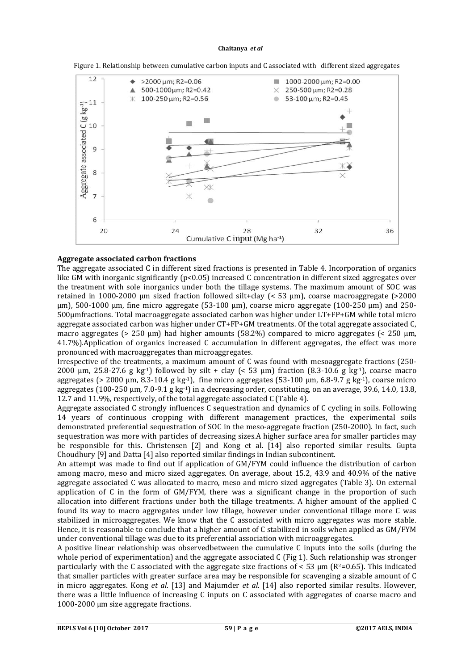

Figure 1. Relationship between cumulative carbon inputs and C associated with different sized aggregates

# **Aggregate associated carbon fractions**

The aggregate associated C in different sized fractions is presented in Table 4. Incorporation of organics like GM with inorganic significantly (p<0.05) increased C concentration in different sized aggregates over the treatment with sole inorganics under both the tillage systems. The maximum amount of SOC was retained in 1000-2000 µm sized fraction followed silt+clay (< 53 µm), coarse macroaggregate (>2000  $\mu$ m), 500-1000  $\mu$ m, fine micro aggregate (53-100  $\mu$ m), coarse micro aggregate (100-250  $\mu$ m) and 250-500µmfractions. Total macroaggregate associated carbon was higher under LT+FP+GM while total micro aggregate associated carbon was higher under CT+FP+GM treatments. Of the total aggregate associated C, macro aggregates ( $> 250 \mu m$ ) had higher amounts (58.2%) compared to micro aggregates ( $< 250 \mu m$ , 41.7%).Application of organics increased C accumulation in different aggregates, the effect was more pronounced with macroaggregates than microaggregates.

Irrespective of the treatments, a maximum amount of C was found with mesoaggregate fractions (250- 2000 µm, 25.8-27.6 g kg<sup>-1</sup>) followed by silt + clay (< 53 µm) fraction (8.3-10.6 g kg<sup>-1</sup>), coarse macro aggregates (> 2000 µm,  $8.3-10.4$  g kg<sup>-1</sup>), fine micro aggregates (53-100 µm,  $6.8-9.7$  g kg<sup>-1</sup>), coarse micro aggregates (100-250  $\mu$ m, 7.0-9.1 g kg<sup>-1</sup>) in a decreasing order, constituting, on an average, 39.6, 14.0, 13.8, 12.7 and 11.9%, respectively, of the total aggregate associated C (Table 4).

Aggregate associated C strongly influences C sequestration and dynamics of C cycling in soils. Following 14 years of continuous cropping with different management practices, the experimental soils demonstrated preferential sequestration of SOC in the meso-aggregate fraction (250-2000). In fact, such sequestration was more with particles of decreasing sizes.A higher surface area for smaller particles may be responsible for this. Christensen [2] and Kong et al. [14] also reported similar results. Gupta Choudhury [9] and Datta [4] also reported similar findings in Indian subcontinent.

An attempt was made to find out if application of GM/FYM could influence the distribution of carbon among macro, meso and micro sized aggregates. On average, about 15.2, 43.9 and 40.9% of the native aggregate associated C was allocated to macro, meso and micro sized aggregates (Table 3). On external application of C in the form of GM/FYM, there was a significant change in the proportion of such allocation into different fractions under both the tillage treatments. A higher amount of the applied C found its way to macro aggregates under low tillage, however under conventional tillage more C was stabilized in microaggregates. We know that the C associated with micro aggregates was more stable. Hence, it is reasonable to conclude that a higher amount of C stabilized in soils when applied as GM/FYM under conventional tillage was due to its preferential association with microaggregates.

A positive linear relationship was observedbetween the cumulative C inputs into the soils (during the whole period of experimentation) and the aggregate associated C (Fig 1). Such relationship was stronger particularly with the C associated with the aggregate size fractions of  $\lt$  53  $\mu$ m (R<sup>2</sup>=0.65). This indicated that smaller particles with greater surface area may be responsible for scavenging a sizable amount of C in micro aggregates. Kong *et al*. [13] and Majumder *et al*. [14] also reported similar results. However, there was a little influence of increasing C inputs on C associated with aggregates of coarse macro and 1000-2000 µm size aggregate fractions.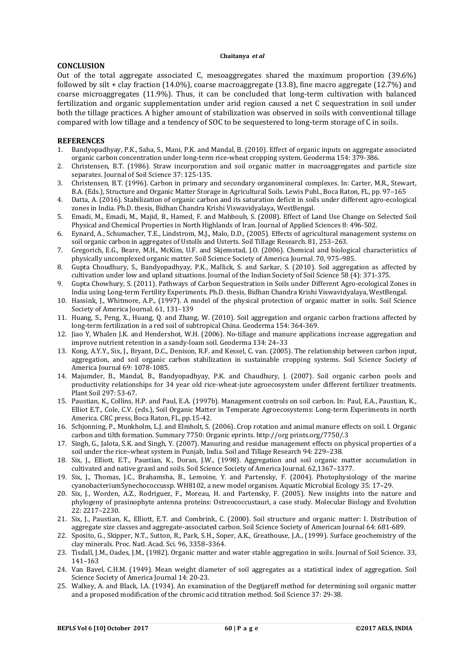# **CONCLUSION**

Out of the total aggregate associated C, mesoaggregates shared the maximum proportion (39.6%) followed by silt + clay fraction (14.0%), coarse macroaggregate (13.8), fine macro aggregate (12.7%) and coarse microaggregates (11.9%). Thus, it can be concluded that long-term cultivation with balanced fertilization and organic supplementation under arid region caused a net C sequestration in soil under both the tillage practices. A higher amount of stabilization was observed in soils with conventional tillage compared with low tillage and a tendency of SOC to be sequestered to long-term storage of C in soils.

### **REFERENCES**

- 1. Bandyopadhyay, P.K., Saha, S., Mani, P.K. and Mandal, B. (2010). Effect of organic inputs on aggregate associated organic carbon concentration under long-term rice-wheat cropping system. Geoderma 154: 379-386.
- 2. Christensen, B.T. (1986). Straw incorporation and soil organic matter in macroaggregates and particle size separates. Journal of Soil Science 37: 125-135.
- 3. Christensen, B.T. (1996). Carbon in primary and secondary organomineral complexes. In: Carter, M.R., Stewart, B.A. (Eds.), Structure and Organic Matter Storage in Agricultural Soils. Lewis Publ., Boca Raton, FL, pp. 97–165
- 4. Datta, A. (2016). Stabilization of organic carbon and its saturation deficit in soils under different agro-ecological zones in India. Ph.D. thesis, Bidhan Chandra Krishi Viswavidyalaya, WestBengal.
- 5. Emadi, M., Emadi, M., Majid, B., Hamed, F. and Mahboub, S. (2008). Effect of Land Use Change on Selected Soil Physical and Chemical Properties in North Highlands of Iran. Journal of Applied Sciences 8: 496-502.
- 6. Eynard, A., Schumacher, T.E., Lindstrom, M.J., Malo, D.D., (2005). Effects of agricultural management systems on soil organic carbon in aggregates of Ustolls and Usterts. Soil Tillage Research. 81, 253–263.
- 7. Gregorich, E.G., Beare, M.H., McKim, U.F. and Skjemstad, J.O. (2006). Chemical and biological characteristics of physically uncomplexed organic matter. Soil Science Society of America Journal. 70, 975–985.
- 8. Gupta Choudhury, S., Bandyopadhyay, P.K., Mallick, S. and Sarkar, S. (2010). Soil aggregation as affected by cultivation under low and upland situations. Journal of the Indian Society of Soil Science 58 (4): 371-375.
- 9. Gupta Chowhury, S. (2011). Pathways of Carbon Sequestration in Soils under Different Agro-ecological Zones in India using Long-term Fertility Experiments. Ph.D. thesis, Bidhan Chandra Krishi Viswavidyalaya, WestBengal.
- 10. Hassink, J., Whitmore, A.P., (1997). A model of the physical protection of organic matter in soils. Soil Science Society of America Journal. 61, 131–139
- 11. Huang, S., Peng, X., Huang, Q. and Zhang, W. (2010). Soil aggregation and organic carbon fractions affected by long-term fertilization in a red soil of subtropical China. Geoderma 154: 364-369.
- 12. Jiao Y, Whalen J.K. and Hendershot, W.H. (2006). No-tillage and manure applications increase aggregation and improve nutrient retention in a sandy-loam soil. Geoderma 134: 24–33
- 13. Kong, A.Y.Y., Six, J., Bryant, D.C., Denison, R.F. and Kessel, C. van. (2005). The relationship between carbon input, aggregation, and soil organic carbon stabilization in sustainable cropping systems. Soil Science Society of America Journal 69: 1078-1085.
- 14. Majumder, B., Mandal, B., Bandyopadhyay, P.K. and Chaudhury, J. (2007). Soil organic carbon pools and productivity relationships for 34 year old rice-wheat-jute agroecosystem under different fertilizer treatments. Plant Soil 297: 53-67.
- 15. Paustian, K., Collins, H.P. and Paul, E.A. (1997b). Management controls on soil carbon. In: Paul, E.A., Paustian, K., Elliot E.T., Cole, C.V. (eds.), Soil Organic Matter in Temperate Agroecosystems: Long-term Experiments in north America. CRC press, Boca Raton, FL, pp.15-42.
- 16. Schjonning, P., Munkholm, L.J. and Elmholt, S. (2006). Crop rotation and animal manure effects on soil. I. Organic carbon and tilth formation. Summary 7750: Organic eprints. http://org prints.org/7750/.3
- 17. Singh, G., Jalota, S.K. and Singh, Y. (2007). Manuring and residue management effects on physical properties of a soil under the rice–wheat system in Punjab, India. Soil and Tillage Research 94: 229–238.
- 18. Six, J., Elliott, E.T., Paustian, K., Doran, J.W., (1998). Aggregation and soil organic matter accumulation in cultivated and native grassl and soils. Soil Science Society of America Journal. 62,1367–1377.
- 19. Six, J., Thomas, J.C., Brahamsha, B., Lemoine, Y. and Partensky, F. (2004). Photophysiology of the marine cyanobacteriumSynechococcussp. WH8102, a new model organism. Aquatic Microbial Ecology 35: 17–29.
- 20. Six, J., Worden, A.Z., Rodriguez, F., Moreau, H. and Partensky, F. (2005). New insights into the nature and phylogeny of prasinophyte antenna proteins: Ostreococcustauri, a case study. Molecular Biology and Evolution 22: 2217–2230.
- 21. Six, J., Paustian, K., Elliott, E.T. and Combrink, C. (2000). Soil structure and organic matter: I. Distribution of aggregate size classes and aggregate-associated carbon. Soil Science Society of American Journal 64: 681-689.
- 22. Sposito, G., Skipper, N.T., Sutton, R., Park, S.H., Soper, A.K., Greathouse, J.A., (1999). Surface geochemistry of the clay minerals. Proc. Natl. Acad. Sci. 96, 3358–3364.
- 23. Tisdall, J.M., Oades, J.M., (1982). Organic matter and water stable aggregation in soils. Journal of Soil Science. 33, 141–163
- 24. Van Bavel, C.H.M. (1949). Mean weight diameter of soil aggregates as a statistical index of aggregation. Soil Science Society of America Journal 14: 20-23.
- 25. Walkey, A. and Black, I.A. (1934). An examination of the Degtjareff method for determining soil organic matter and a proposed modification of the chromic acid titration method. Soil Science 37: 29-38.